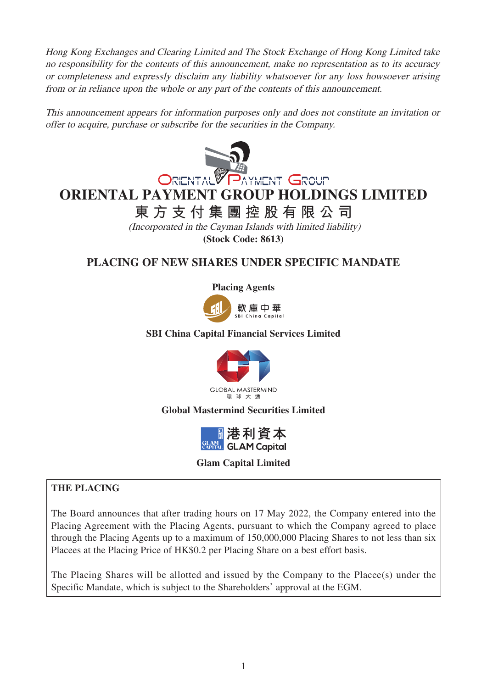Hong Kong Exchanges and Clearing Limited and The Stock Exchange of Hong Kong Limited take no responsibility for the contents of this announcement, make no representation as to its accuracy or completeness and expressly disclaim any liability whatsoever for any loss howsoever arising from or in reliance upon the whole or any part of the contents of this announcement.

This announcement appears for information purposes only and does not constitute an invitation or offer to acquire, purchase or subscribe for the securities in the Company.



(Incorporated in the Cayman Islands with limited liability) **(Stock Code: 8613)**

# **PLACING OF NEW SHARES UNDER SPECIFIC MANDATE**

**Placing Agents**



### **SBI China Capital Financial Services Limited**



**Global Mastermind Securities Limited**



**Glam Capital Limited**

### **THE PLACING**

The Board announces that after trading hours on 17 May 2022, the Company entered into the Placing Agreement with the Placing Agents, pursuant to which the Company agreed to place through the Placing Agents up to a maximum of 150,000,000 Placing Shares to not less than six Placees at the Placing Price of HK\$0.2 per Placing Share on a best effort basis.

The Placing Shares will be allotted and issued by the Company to the Placee(s) under the Specific Mandate, which is subject to the Shareholders' approval at the EGM.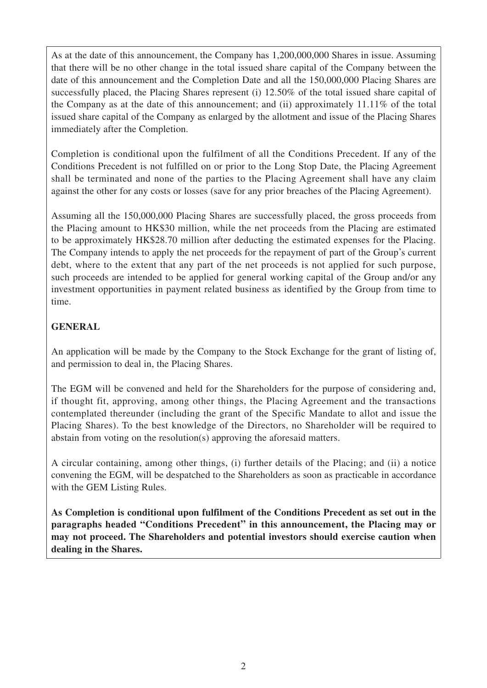As at the date of this announcement, the Company has 1,200,000,000 Shares in issue. Assuming that there will be no other change in the total issued share capital of the Company between the date of this announcement and the Completion Date and all the 150,000,000 Placing Shares are successfully placed, the Placing Shares represent (i) 12.50% of the total issued share capital of the Company as at the date of this announcement; and (ii) approximately 11.11% of the total issued share capital of the Company as enlarged by the allotment and issue of the Placing Shares immediately after the Completion.

Completion is conditional upon the fulfilment of all the Conditions Precedent. If any of the Conditions Precedent is not fulfilled on or prior to the Long Stop Date, the Placing Agreement shall be terminated and none of the parties to the Placing Agreement shall have any claim against the other for any costs or losses (save for any prior breaches of the Placing Agreement).

Assuming all the 150,000,000 Placing Shares are successfully placed, the gross proceeds from the Placing amount to HK\$30 million, while the net proceeds from the Placing are estimated to be approximately HK\$28.70 million after deducting the estimated expenses for the Placing. The Company intends to apply the net proceeds for the repayment of part of the Group's current debt, where to the extent that any part of the net proceeds is not applied for such purpose, such proceeds are intended to be applied for general working capital of the Group and/or any investment opportunities in payment related business as identified by the Group from time to time.

## **GENERAL**

An application will be made by the Company to the Stock Exchange for the grant of listing of, and permission to deal in, the Placing Shares.

The EGM will be convened and held for the Shareholders for the purpose of considering and, if thought fit, approving, among other things, the Placing Agreement and the transactions contemplated thereunder (including the grant of the Specific Mandate to allot and issue the Placing Shares). To the best knowledge of the Directors, no Shareholder will be required to abstain from voting on the resolution(s) approving the aforesaid matters.

A circular containing, among other things, (i) further details of the Placing; and (ii) a notice convening the EGM, will be despatched to the Shareholders as soon as practicable in accordance with the GEM Listing Rules.

**As Completion is conditional upon fulfilment of the Conditions Precedent as set out in the paragraphs headed "Conditions Precedent" in this announcement, the Placing may or may not proceed. The Shareholders and potential investors should exercise caution when dealing in the Shares.**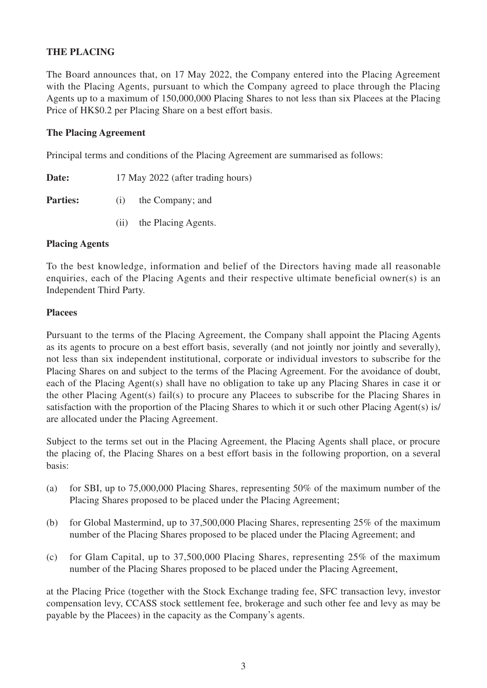### **THE PLACING**

The Board announces that, on 17 May 2022, the Company entered into the Placing Agreement with the Placing Agents, pursuant to which the Company agreed to place through the Placing Agents up to a maximum of 150,000,000 Placing Shares to not less than six Placees at the Placing Price of HK\$0.2 per Placing Share on a best effort basis.

#### **The Placing Agreement**

Principal terms and conditions of the Placing Agreement are summarised as follows:

**Date:** 17 May 2022 (after trading hours)

**Parties:** (i) the Company; and

(ii) the Placing Agents.

#### **Placing Agents**

To the best knowledge, information and belief of the Directors having made all reasonable enquiries, each of the Placing Agents and their respective ultimate beneficial owner(s) is an Independent Third Party.

#### **Placees**

Pursuant to the terms of the Placing Agreement, the Company shall appoint the Placing Agents as its agents to procure on a best effort basis, severally (and not jointly nor jointly and severally), not less than six independent institutional, corporate or individual investors to subscribe for the Placing Shares on and subject to the terms of the Placing Agreement. For the avoidance of doubt, each of the Placing Agent(s) shall have no obligation to take up any Placing Shares in case it or the other Placing Agent(s) fail(s) to procure any Placees to subscribe for the Placing Shares in satisfaction with the proportion of the Placing Shares to which it or such other Placing Agent(s) is/ are allocated under the Placing Agreement.

Subject to the terms set out in the Placing Agreement, the Placing Agents shall place, or procure the placing of, the Placing Shares on a best effort basis in the following proportion, on a several basis:

- (a) for SBI, up to 75,000,000 Placing Shares, representing 50% of the maximum number of the Placing Shares proposed to be placed under the Placing Agreement;
- (b) for Global Mastermind, up to 37,500,000 Placing Shares, representing 25% of the maximum number of the Placing Shares proposed to be placed under the Placing Agreement; and
- (c) for Glam Capital, up to 37,500,000 Placing Shares, representing 25% of the maximum number of the Placing Shares proposed to be placed under the Placing Agreement,

at the Placing Price (together with the Stock Exchange trading fee, SFC transaction levy, investor compensation levy, CCASS stock settlement fee, brokerage and such other fee and levy as may be payable by the Placees) in the capacity as the Company's agents.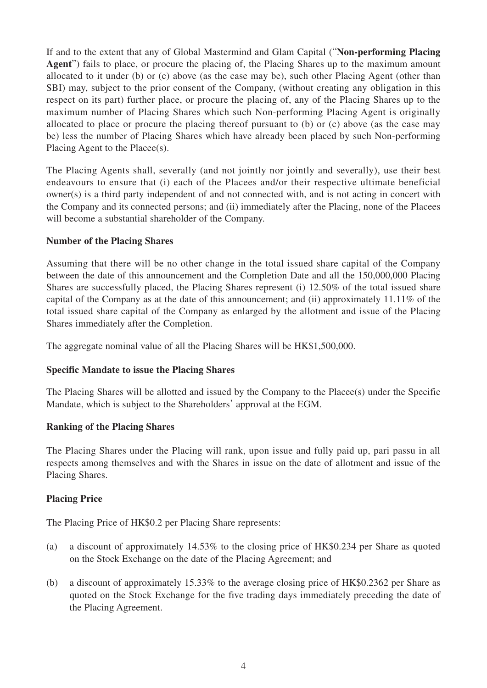If and to the extent that any of Global Mastermind and Glam Capital ("**Non-performing Placing Agent**") fails to place, or procure the placing of, the Placing Shares up to the maximum amount allocated to it under (b) or (c) above (as the case may be), such other Placing Agent (other than SBI) may, subject to the prior consent of the Company, (without creating any obligation in this respect on its part) further place, or procure the placing of, any of the Placing Shares up to the maximum number of Placing Shares which such Non-performing Placing Agent is originally allocated to place or procure the placing thereof pursuant to (b) or (c) above (as the case may be) less the number of Placing Shares which have already been placed by such Non-performing Placing Agent to the Placee(s).

The Placing Agents shall, severally (and not jointly nor jointly and severally), use their best endeavours to ensure that (i) each of the Placees and/or their respective ultimate beneficial owner(s) is a third party independent of and not connected with, and is not acting in concert with the Company and its connected persons; and (ii) immediately after the Placing, none of the Placees will become a substantial shareholder of the Company.

### **Number of the Placing Shares**

Assuming that there will be no other change in the total issued share capital of the Company between the date of this announcement and the Completion Date and all the 150,000,000 Placing Shares are successfully placed, the Placing Shares represent (i) 12.50% of the total issued share capital of the Company as at the date of this announcement; and (ii) approximately 11.11% of the total issued share capital of the Company as enlarged by the allotment and issue of the Placing Shares immediately after the Completion.

The aggregate nominal value of all the Placing Shares will be HK\$1,500,000.

### **Specific Mandate to issue the Placing Shares**

The Placing Shares will be allotted and issued by the Company to the Placee(s) under the Specific Mandate, which is subject to the Shareholders' approval at the EGM.

### **Ranking of the Placing Shares**

The Placing Shares under the Placing will rank, upon issue and fully paid up, pari passu in all respects among themselves and with the Shares in issue on the date of allotment and issue of the Placing Shares.

### **Placing Price**

The Placing Price of HK\$0.2 per Placing Share represents:

- (a) a discount of approximately 14.53% to the closing price of HK\$0.234 per Share as quoted on the Stock Exchange on the date of the Placing Agreement; and
- (b) a discount of approximately 15.33% to the average closing price of HK\$0.2362 per Share as quoted on the Stock Exchange for the five trading days immediately preceding the date of the Placing Agreement.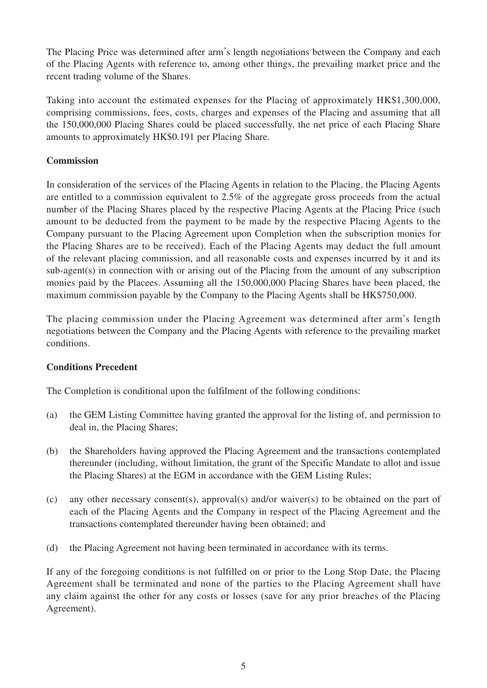The Placing Price was determined after arm's length negotiations between the Company and each of the Placing Agents with reference to, among other things, the prevailing market price and the recent trading volume of the Shares.

Taking into account the estimated expenses for the Placing of approximately HK\$1,300,000, comprising commissions, fees, costs, charges and expenses of the Placing and assuming that all the 150,000,000 Placing Shares could be placed successfully, the net price of each Placing Share amounts to approximately HK\$0.191 per Placing Share.

### **Commission**

In consideration of the services of the Placing Agents in relation to the Placing, the Placing Agents are entitled to a commission equivalent to 2.5% of the aggregate gross proceeds from the actual number of the Placing Shares placed by the respective Placing Agents at the Placing Price (such amount to be deducted from the payment to be made by the respective Placing Agents to the Company pursuant to the Placing Agreement upon Completion when the subscription monies for the Placing Shares are to be received). Each of the Placing Agents may deduct the full amount of the relevant placing commission, and all reasonable costs and expenses incurred by it and its sub-agent(s) in connection with or arising out of the Placing from the amount of any subscription monies paid by the Placees. Assuming all the 150,000,000 Placing Shares have been placed, the maximum commission payable by the Company to the Placing Agents shall be HK\$750,000.

The placing commission under the Placing Agreement was determined after arm's length negotiations between the Company and the Placing Agents with reference to the prevailing market conditions.

### **Conditions Precedent**

The Completion is conditional upon the fulfilment of the following conditions:

- (a) the GEM Listing Committee having granted the approval for the listing of, and permission to deal in, the Placing Shares;
- (b) the Shareholders having approved the Placing Agreement and the transactions contemplated thereunder (including, without limitation, the grant of the Specific Mandate to allot and issue the Placing Shares) at the EGM in accordance with the GEM Listing Rules;
- (c) any other necessary consent(s), approval(s) and/or waiver(s) to be obtained on the part of each of the Placing Agents and the Company in respect of the Placing Agreement and the transactions contemplated thereunder having been obtained; and
- (d) the Placing Agreement not having been terminated in accordance with its terms.

If any of the foregoing conditions is not fulfilled on or prior to the Long Stop Date, the Placing Agreement shall be terminated and none of the parties to the Placing Agreement shall have any claim against the other for any costs or losses (save for any prior breaches of the Placing Agreement).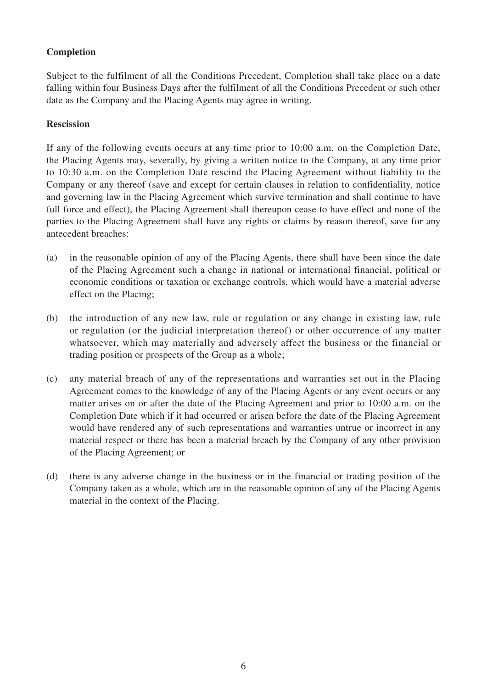### **Completion**

Subject to the fulfilment of all the Conditions Precedent, Completion shall take place on a date falling within four Business Days after the fulfilment of all the Conditions Precedent or such other date as the Company and the Placing Agents may agree in writing.

### **Rescission**

If any of the following events occurs at any time prior to 10:00 a.m. on the Completion Date, the Placing Agents may, severally, by giving a written notice to the Company, at any time prior to 10:30 a.m. on the Completion Date rescind the Placing Agreement without liability to the Company or any thereof (save and except for certain clauses in relation to confidentiality, notice and governing law in the Placing Agreement which survive termination and shall continue to have full force and effect), the Placing Agreement shall thereupon cease to have effect and none of the parties to the Placing Agreement shall have any rights or claims by reason thereof, save for any antecedent breaches:

- (a) in the reasonable opinion of any of the Placing Agents, there shall have been since the date of the Placing Agreement such a change in national or international financial, political or economic conditions or taxation or exchange controls, which would have a material adverse effect on the Placing;
- (b) the introduction of any new law, rule or regulation or any change in existing law, rule or regulation (or the judicial interpretation thereof) or other occurrence of any matter whatsoever, which may materially and adversely affect the business or the financial or trading position or prospects of the Group as a whole;
- (c) any material breach of any of the representations and warranties set out in the Placing Agreement comes to the knowledge of any of the Placing Agents or any event occurs or any matter arises on or after the date of the Placing Agreement and prior to 10:00 a.m. on the Completion Date which if it had occurred or arisen before the date of the Placing Agreement would have rendered any of such representations and warranties untrue or incorrect in any material respect or there has been a material breach by the Company of any other provision of the Placing Agreement; or
- (d) there is any adverse change in the business or in the financial or trading position of the Company taken as a whole, which are in the reasonable opinion of any of the Placing Agents material in the context of the Placing.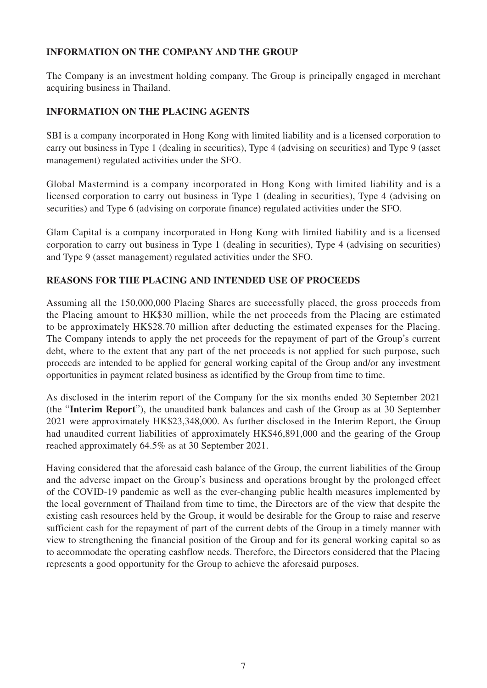### **INFORMATION ON THE COMPANY AND THE GROUP**

The Company is an investment holding company. The Group is principally engaged in merchant acquiring business in Thailand.

### **INFORMATION ON THE PLACING AGENTS**

SBI is a company incorporated in Hong Kong with limited liability and is a licensed corporation to carry out business in Type 1 (dealing in securities), Type 4 (advising on securities) and Type 9 (asset management) regulated activities under the SFO.

Global Mastermind is a company incorporated in Hong Kong with limited liability and is a licensed corporation to carry out business in Type 1 (dealing in securities), Type 4 (advising on securities) and Type 6 (advising on corporate finance) regulated activities under the SFO.

Glam Capital is a company incorporated in Hong Kong with limited liability and is a licensed corporation to carry out business in Type 1 (dealing in securities), Type 4 (advising on securities) and Type 9 (asset management) regulated activities under the SFO.

### **REASONS FOR THE PLACING AND INTENDED USE OF PROCEEDS**

Assuming all the 150,000,000 Placing Shares are successfully placed, the gross proceeds from the Placing amount to HK\$30 million, while the net proceeds from the Placing are estimated to be approximately HK\$28.70 million after deducting the estimated expenses for the Placing. The Company intends to apply the net proceeds for the repayment of part of the Group's current debt, where to the extent that any part of the net proceeds is not applied for such purpose, such proceeds are intended to be applied for general working capital of the Group and/or any investment opportunities in payment related business as identified by the Group from time to time.

As disclosed in the interim report of the Company for the six months ended 30 September 2021 (the "**Interim Report**"), the unaudited bank balances and cash of the Group as at 30 September 2021 were approximately HK\$23,348,000. As further disclosed in the Interim Report, the Group had unaudited current liabilities of approximately HK\$46,891,000 and the gearing of the Group reached approximately 64.5% as at 30 September 2021.

Having considered that the aforesaid cash balance of the Group, the current liabilities of the Group and the adverse impact on the Group's business and operations brought by the prolonged effect of the COVID-19 pandemic as well as the ever-changing public health measures implemented by the local government of Thailand from time to time, the Directors are of the view that despite the existing cash resources held by the Group, it would be desirable for the Group to raise and reserve sufficient cash for the repayment of part of the current debts of the Group in a timely manner with view to strengthening the financial position of the Group and for its general working capital so as to accommodate the operating cashflow needs. Therefore, the Directors considered that the Placing represents a good opportunity for the Group to achieve the aforesaid purposes.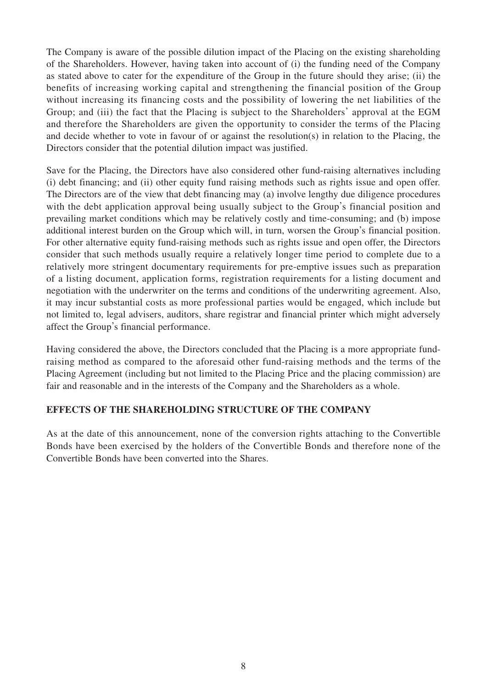The Company is aware of the possible dilution impact of the Placing on the existing shareholding of the Shareholders. However, having taken into account of (i) the funding need of the Company as stated above to cater for the expenditure of the Group in the future should they arise; (ii) the benefits of increasing working capital and strengthening the financial position of the Group without increasing its financing costs and the possibility of lowering the net liabilities of the Group; and (iii) the fact that the Placing is subject to the Shareholders' approval at the EGM and therefore the Shareholders are given the opportunity to consider the terms of the Placing and decide whether to vote in favour of or against the resolution(s) in relation to the Placing, the Directors consider that the potential dilution impact was justified.

Save for the Placing, the Directors have also considered other fund-raising alternatives including (i) debt financing; and (ii) other equity fund raising methods such as rights issue and open offer. The Directors are of the view that debt financing may (a) involve lengthy due diligence procedures with the debt application approval being usually subject to the Group's financial position and prevailing market conditions which may be relatively costly and time-consuming; and (b) impose additional interest burden on the Group which will, in turn, worsen the Group's financial position. For other alternative equity fund-raising methods such as rights issue and open offer, the Directors consider that such methods usually require a relatively longer time period to complete due to a relatively more stringent documentary requirements for pre-emptive issues such as preparation of a listing document, application forms, registration requirements for a listing document and negotiation with the underwriter on the terms and conditions of the underwriting agreement. Also, it may incur substantial costs as more professional parties would be engaged, which include but not limited to, legal advisers, auditors, share registrar and financial printer which might adversely affect the Group's financial performance.

Having considered the above, the Directors concluded that the Placing is a more appropriate fundraising method as compared to the aforesaid other fund-raising methods and the terms of the Placing Agreement (including but not limited to the Placing Price and the placing commission) are fair and reasonable and in the interests of the Company and the Shareholders as a whole.

### **EFFECTS OF THE SHAREHOLDING STRUCTURE OF THE COMPANY**

As at the date of this announcement, none of the conversion rights attaching to the Convertible Bonds have been exercised by the holders of the Convertible Bonds and therefore none of the Convertible Bonds have been converted into the Shares.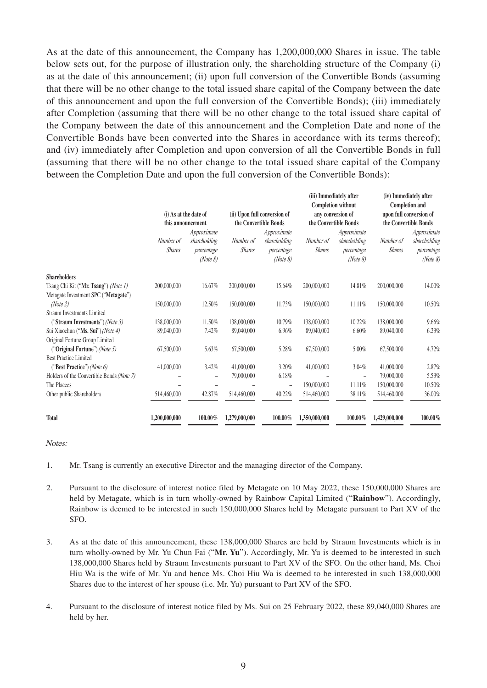As at the date of this announcement, the Company has 1,200,000,000 Shares in issue. The table below sets out, for the purpose of illustration only, the shareholding structure of the Company (i) as at the date of this announcement; (ii) upon full conversion of the Convertible Bonds (assuming that there will be no other change to the total issued share capital of the Company between the date of this announcement and upon the full conversion of the Convertible Bonds); (iii) immediately after Completion (assuming that there will be no other change to the total issued share capital of the Company between the date of this announcement and the Completion Date and none of the Convertible Bonds have been converted into the Shares in accordance with its terms thereof); and (iv) immediately after Completion and upon conversion of all the Convertible Bonds in full (assuming that there will be no other change to the total issued share capital of the Company between the Completion Date and upon the full conversion of the Convertible Bonds):

|                                           |                                            |                                                       |                                                       |                                                       | (III) Immediately after<br>Completion without |                                                       | (iv) Immediately after<br><b>Completion and</b>  |                                                       |
|-------------------------------------------|--------------------------------------------|-------------------------------------------------------|-------------------------------------------------------|-------------------------------------------------------|-----------------------------------------------|-------------------------------------------------------|--------------------------------------------------|-------------------------------------------------------|
|                                           | (i) As at the date of<br>this announcement |                                                       | (ii) Upon full conversion of<br>the Convertible Bonds |                                                       | any conversion of<br>the Convertible Bonds    |                                                       | upon full conversion of<br>the Convertible Bonds |                                                       |
|                                           | Number of<br><b>Shares</b>                 | Approximate<br>shareholding<br>percentage<br>(Note 8) | Number of<br><b>Shares</b>                            | Approximate<br>shareholding<br>percentage<br>(Note 8) | Number of<br><b>Shares</b>                    | Approximate<br>shareholding<br>percentage<br>(Note 8) | Number of<br><b>Shares</b>                       | Approximate<br>shareholding<br>percentage<br>(Note 8) |
| <b>Shareholders</b>                       |                                            |                                                       |                                                       |                                                       |                                               |                                                       |                                                  |                                                       |
| Tsang Chi Kit ("Mr. Tsang") (Note 1)      | 200,000,000                                | 16.67%                                                | 200,000,000                                           | 15.64%                                                | 200,000,000                                   | 14.81%                                                | 200,000,000                                      | 14.00%                                                |
| Metagate Investment SPC ("Metagate")      |                                            |                                                       |                                                       |                                                       |                                               |                                                       |                                                  |                                                       |
| (Note 2)                                  | 150,000,000                                | 12.50%                                                | 150,000,000                                           | 11.73%                                                | 150,000,000                                   | 11.11%                                                | 150,000,000                                      | 10.50%                                                |
| Straum Investments Limited                |                                            |                                                       |                                                       |                                                       |                                               |                                                       |                                                  |                                                       |
| "Straum Investments") (Note 3)            | 138,000,000                                | 11.50%                                                | 138,000,000                                           | 10.79%                                                | 138,000,000                                   | 10.22%                                                | 138,000,000                                      | 9.66%                                                 |
| Sui Xiaochun ("Ms. Sui") (Note 4)         | 89,040,000                                 | 7.42%                                                 | 89,040,000                                            | 6.96%                                                 | 89,040,000                                    | 6.60%                                                 | 89,040,000                                       | 6.23%                                                 |
| Original Fortune Group Limited            |                                            |                                                       |                                                       |                                                       |                                               |                                                       |                                                  |                                                       |
| "Original Fortune") (Note 5)              | 67,500,000                                 | 5.63%                                                 | 67,500,000                                            | 5.28%                                                 | 67,500,000                                    | 5.00%                                                 | 67,500,000                                       | 4.72%                                                 |
| <b>Best Practice Limited</b>              |                                            |                                                       |                                                       |                                                       |                                               |                                                       |                                                  |                                                       |
| "Best Practice") (Note 6)                 | 41,000,000                                 | 3.42%                                                 | 41,000,000                                            | 3.20%                                                 | 41,000,000                                    | 3.04%                                                 | 41,000,000                                       | 2.87%                                                 |
| Holders of the Convertible Bonds (Note 7) |                                            |                                                       | 79,000,000                                            | 6.18%                                                 |                                               | L,                                                    | 79,000,000                                       | 5.53%                                                 |
| The Placees                               |                                            |                                                       |                                                       |                                                       | 150,000,000                                   | 11.11%                                                | 150,000,000                                      | 10.50%                                                |
| Other public Shareholders                 | 514,460,000                                | 42.87%                                                | 514,460,000                                           | 40.22%                                                | 514,460,000                                   | 38.11%                                                | 514,460,000                                      | 36.00%                                                |
| Total                                     | 1,200,000,000                              | 100.00%                                               | 1,279,000,000                                         | 100.00%                                               | 1,350,000,000                                 | 100.00%                                               | 1,429,000,000                                    | 100.00%                                               |

#### Notes:

- 1. Mr. Tsang is currently an executive Director and the managing director of the Company.
- 2. Pursuant to the disclosure of interest notice filed by Metagate on 10 May 2022, these 150,000,000 Shares are held by Metagate, which is in turn wholly-owned by Rainbow Capital Limited ("**Rainbow**"). Accordingly, Rainbow is deemed to be interested in such 150,000,000 Shares held by Metagate pursuant to Part XV of the SFO.
- 3. As at the date of this announcement, these 138,000,000 Shares are held by Straum Investments which is in turn wholly-owned by Mr. Yu Chun Fai ("**Mr. Yu**"). Accordingly, Mr. Yu is deemed to be interested in such 138,000,000 Shares held by Straum Investments pursuant to Part XV of the SFO. On the other hand, Ms. Choi Hiu Wa is the wife of Mr. Yu and hence Ms. Choi Hiu Wa is deemed to be interested in such 138,000,000 Shares due to the interest of her spouse (i.e. Mr. Yu) pursuant to Part XV of the SFO.
- 4. Pursuant to the disclosure of interest notice filed by Ms. Sui on 25 February 2022, these 89,040,000 Shares are held by her.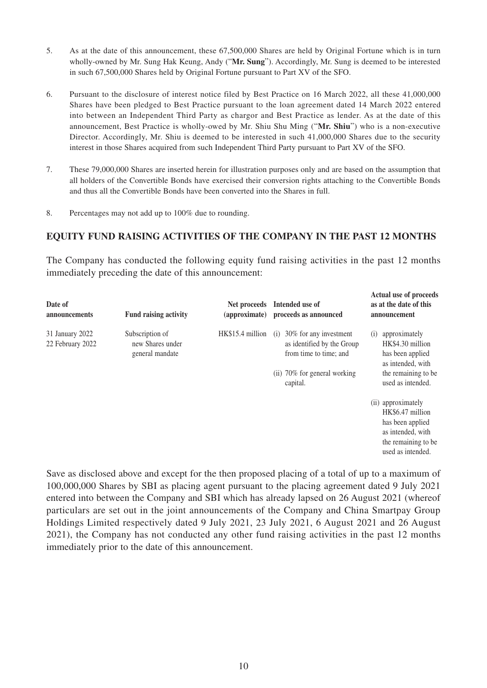- 5. As at the date of this announcement, these 67,500,000 Shares are held by Original Fortune which is in turn wholly-owned by Mr. Sung Hak Keung, Andy ("**Mr. Sung**"). Accordingly, Mr. Sung is deemed to be interested in such 67,500,000 Shares held by Original Fortune pursuant to Part XV of the SFO.
- 6. Pursuant to the disclosure of interest notice filed by Best Practice on 16 March 2022, all these 41,000,000 Shares have been pledged to Best Practice pursuant to the loan agreement dated 14 March 2022 entered into between an Independent Third Party as chargor and Best Practice as lender. As at the date of this announcement, Best Practice is wholly-owed by Mr. Shiu Shu Ming ("**Mr. Shiu**") who is a non-executive Director. Accordingly, Mr. Shiu is deemed to be interested in such 41,000,000 Shares due to the security interest in those Shares acquired from such Independent Third Party pursuant to Part XV of the SFO.
- 7. These 79,000,000 Shares are inserted herein for illustration purposes only and are based on the assumption that all holders of the Convertible Bonds have exercised their conversion rights attaching to the Convertible Bonds and thus all the Convertible Bonds have been converted into the Shares in full.
- 8. Percentages may not add up to 100% due to rounding.

### **EQUITY FUND RAISING ACTIVITIES OF THE COMPANY IN THE PAST 12 MONTHS**

The Company has conducted the following equity fund raising activities in the past 12 months immediately preceding the date of this announcement:

**Actual use of proceeds** 

| Date of<br>announcements            | Fund raising activity                                  | Net proceeds     | Intended use of<br>(approximate) proceeds as announced                               | Actual use of proceeds<br>as at the date of this<br>announcement                  |
|-------------------------------------|--------------------------------------------------------|------------------|--------------------------------------------------------------------------------------|-----------------------------------------------------------------------------------|
| 31 January 2022<br>22 February 2022 | Subscription of<br>new Shares under<br>general mandate | HK\$15.4 million | $(i)$ 30% for any investment<br>as identified by the Group<br>from time to time; and | approximately<br>(i)<br>HK\$4.30 million<br>has been applied<br>as intended, with |
|                                     |                                                        |                  | (ii) 70% for general working<br>capital.                                             | the remaining to be<br>used as intended.                                          |
|                                     |                                                        |                  |                                                                                      | (ii) approximately<br>HK\$6.47 million<br>has been applied<br>as intended, with   |
|                                     |                                                        |                  |                                                                                      | the remaining to be.<br>used as intended.                                         |

Save as disclosed above and except for the then proposed placing of a total of up to a maximum of 100,000,000 Shares by SBI as placing agent pursuant to the placing agreement dated 9 July 2021 entered into between the Company and SBI which has already lapsed on 26 August 2021 (whereof particulars are set out in the joint announcements of the Company and China Smartpay Group Holdings Limited respectively dated 9 July 2021, 23 July 2021, 6 August 2021 and 26 August 2021), the Company has not conducted any other fund raising activities in the past 12 months immediately prior to the date of this announcement.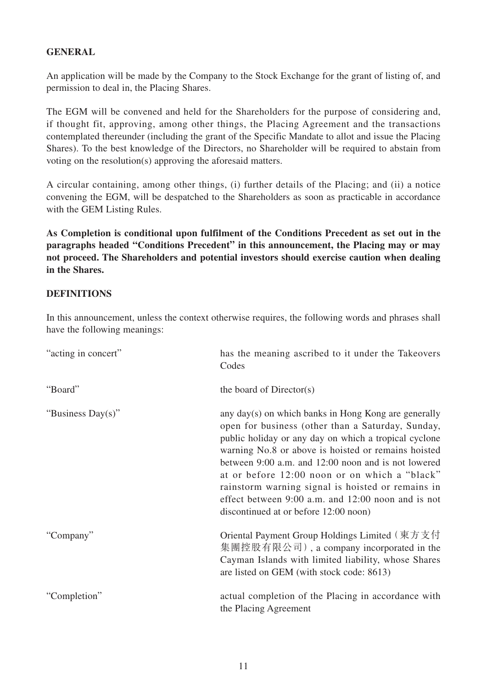### **GENERAL**

An application will be made by the Company to the Stock Exchange for the grant of listing of, and permission to deal in, the Placing Shares.

The EGM will be convened and held for the Shareholders for the purpose of considering and, if thought fit, approving, among other things, the Placing Agreement and the transactions contemplated thereunder (including the grant of the Specific Mandate to allot and issue the Placing Shares). To the best knowledge of the Directors, no Shareholder will be required to abstain from voting on the resolution(s) approving the aforesaid matters.

A circular containing, among other things, (i) further details of the Placing; and (ii) a notice convening the EGM, will be despatched to the Shareholders as soon as practicable in accordance with the GEM Listing Rules.

**As Completion is conditional upon fulfilment of the Conditions Precedent as set out in the paragraphs headed "Conditions Precedent" in this announcement, the Placing may or may not proceed. The Shareholders and potential investors should exercise caution when dealing in the Shares.**

### **DEFINITIONS**

In this announcement, unless the context otherwise requires, the following words and phrases shall have the following meanings:

| "acting in concert" | has the meaning ascribed to it under the Takeovers<br>Codes                                                                                                                                                                                                                                                                                                                                                                                                                           |
|---------------------|---------------------------------------------------------------------------------------------------------------------------------------------------------------------------------------------------------------------------------------------------------------------------------------------------------------------------------------------------------------------------------------------------------------------------------------------------------------------------------------|
| "Board"             | the board of Director(s)                                                                                                                                                                                                                                                                                                                                                                                                                                                              |
| "Business Day(s)"   | any day(s) on which banks in Hong Kong are generally<br>open for business (other than a Saturday, Sunday,<br>public holiday or any day on which a tropical cyclone<br>warning No.8 or above is hoisted or remains hoisted<br>between 9:00 a.m. and 12:00 noon and is not lowered<br>at or before 12:00 noon or on which a "black"<br>rainstorm warning signal is hoisted or remains in<br>effect between 9:00 a.m. and 12:00 noon and is not<br>discontinued at or before 12:00 noon) |
| "Company"           | Oriental Payment Group Holdings Limited (東方支付<br>集團控股有限公司), a company incorporated in the<br>Cayman Islands with limited liability, whose Shares<br>are listed on GEM (with stock code: 8613)                                                                                                                                                                                                                                                                                         |
| "Completion"        | actual completion of the Placing in accordance with<br>the Placing Agreement                                                                                                                                                                                                                                                                                                                                                                                                          |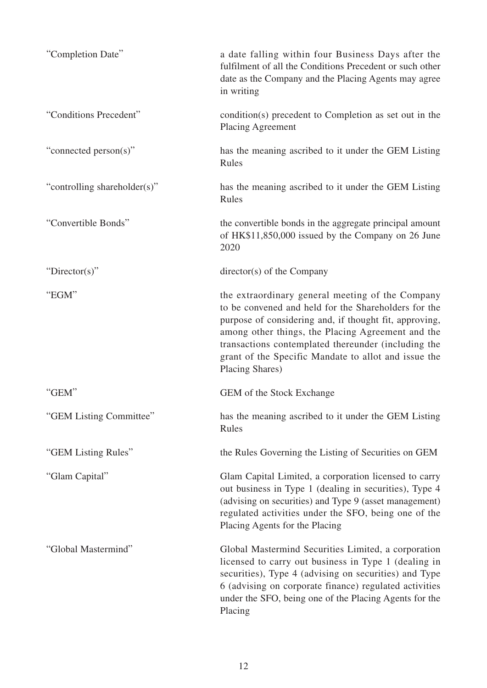| "Completion Date"            | a date falling within four Business Days after the<br>fulfilment of all the Conditions Precedent or such other<br>date as the Company and the Placing Agents may agree<br>in writing                                                                                                                                                                      |
|------------------------------|-----------------------------------------------------------------------------------------------------------------------------------------------------------------------------------------------------------------------------------------------------------------------------------------------------------------------------------------------------------|
| "Conditions Precedent"       | condition(s) precedent to Completion as set out in the<br><b>Placing Agreement</b>                                                                                                                                                                                                                                                                        |
| "connected person(s)"        | has the meaning ascribed to it under the GEM Listing<br>Rules                                                                                                                                                                                                                                                                                             |
| "controlling shareholder(s)" | has the meaning ascribed to it under the GEM Listing<br>Rules                                                                                                                                                                                                                                                                                             |
| "Convertible Bonds"          | the convertible bonds in the aggregate principal amount<br>of HK\$11,850,000 issued by the Company on 26 June<br>2020                                                                                                                                                                                                                                     |
| "Director(s)"                | director(s) of the Company                                                                                                                                                                                                                                                                                                                                |
| "EGM"                        | the extraordinary general meeting of the Company<br>to be convened and held for the Shareholders for the<br>purpose of considering and, if thought fit, approving,<br>among other things, the Placing Agreement and the<br>transactions contemplated thereunder (including the<br>grant of the Specific Mandate to allot and issue the<br>Placing Shares) |
| "GEM"                        | GEM of the Stock Exchange                                                                                                                                                                                                                                                                                                                                 |
| "GEM Listing Committee"      | has the meaning ascribed to it under the GEM Listing<br>Rules                                                                                                                                                                                                                                                                                             |
| "GEM Listing Rules"          | the Rules Governing the Listing of Securities on GEM                                                                                                                                                                                                                                                                                                      |
| "Glam Capital"               | Glam Capital Limited, a corporation licensed to carry<br>out business in Type 1 (dealing in securities), Type 4<br>(advising on securities) and Type 9 (asset management)<br>regulated activities under the SFO, being one of the<br>Placing Agents for the Placing                                                                                       |
| "Global Mastermind"          | Global Mastermind Securities Limited, a corporation<br>licensed to carry out business in Type 1 (dealing in<br>securities), Type 4 (advising on securities) and Type<br>6 (advising on corporate finance) regulated activities<br>under the SFO, being one of the Placing Agents for the<br>Placing                                                       |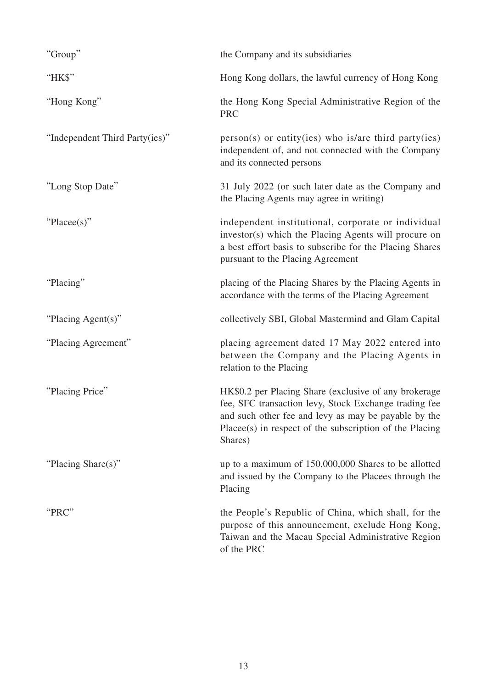| "Group"                        | the Company and its subsidiaries                                                                                                                                                                                                             |
|--------------------------------|----------------------------------------------------------------------------------------------------------------------------------------------------------------------------------------------------------------------------------------------|
| "HK\$"                         | Hong Kong dollars, the lawful currency of Hong Kong                                                                                                                                                                                          |
| "Hong Kong"                    | the Hong Kong Special Administrative Region of the<br><b>PRC</b>                                                                                                                                                                             |
| "Independent Third Party(ies)" | $person(s)$ or entity(ies) who is/are third party(ies)<br>independent of, and not connected with the Company<br>and its connected persons                                                                                                    |
| "Long Stop Date"               | 31 July 2022 (or such later date as the Company and<br>the Placing Agents may agree in writing)                                                                                                                                              |
| "Placee(s)"                    | independent institutional, corporate or individual<br>investor(s) which the Placing Agents will procure on<br>a best effort basis to subscribe for the Placing Shares<br>pursuant to the Placing Agreement                                   |
| "Placing"                      | placing of the Placing Shares by the Placing Agents in<br>accordance with the terms of the Placing Agreement                                                                                                                                 |
| "Placing Agent(s)"             | collectively SBI, Global Mastermind and Glam Capital                                                                                                                                                                                         |
| "Placing Agreement"            | placing agreement dated 17 May 2022 entered into<br>between the Company and the Placing Agents in<br>relation to the Placing                                                                                                                 |
| "Placing Price"                | HK\$0.2 per Placing Share (exclusive of any brokerage<br>fee, SFC transaction levy, Stock Exchange trading fee<br>and such other fee and levy as may be payable by the<br>Placee(s) in respect of the subscription of the Placing<br>Shares) |
| "Placing Share(s)"             | up to a maximum of 150,000,000 Shares to be allotted<br>and issued by the Company to the Placees through the<br>Placing                                                                                                                      |
| "PRC"                          | the People's Republic of China, which shall, for the<br>purpose of this announcement, exclude Hong Kong,<br>Taiwan and the Macau Special Administrative Region<br>of the PRC                                                                 |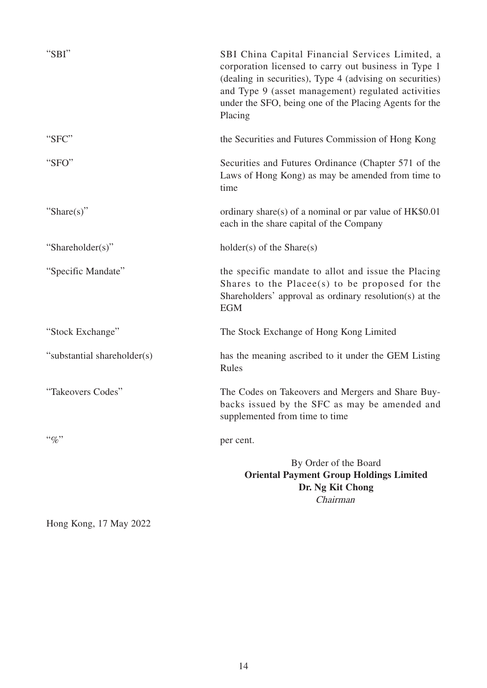| "SBI"                       | SBI China Capital Financial Services Limited, a<br>corporation licensed to carry out business in Type 1<br>(dealing in securities), Type 4 (advising on securities)<br>and Type 9 (asset management) regulated activities<br>under the SFO, being one of the Placing Agents for the<br>Placing |
|-----------------------------|------------------------------------------------------------------------------------------------------------------------------------------------------------------------------------------------------------------------------------------------------------------------------------------------|
| "SFC"                       | the Securities and Futures Commission of Hong Kong                                                                                                                                                                                                                                             |
| "SFO"                       | Securities and Futures Ordinance (Chapter 571 of the<br>Laws of Hong Kong) as may be amended from time to<br>time                                                                                                                                                                              |
| "Share(s)"                  | ordinary share(s) of a nominal or par value of $HK$0.01$<br>each in the share capital of the Company                                                                                                                                                                                           |
| "Shareholder(s)"            | $holder(s)$ of the Share $(s)$                                                                                                                                                                                                                                                                 |
| "Specific Mandate"          | the specific mandate to allot and issue the Placing<br>Shares to the Places $(s)$ to be proposed for the<br>Shareholders' approval as ordinary resolution(s) at the<br><b>EGM</b>                                                                                                              |
| "Stock Exchange"            | The Stock Exchange of Hong Kong Limited                                                                                                                                                                                                                                                        |
| "substantial shareholder(s) | has the meaning ascribed to it under the GEM Listing<br>Rules                                                                                                                                                                                                                                  |
| "Takeovers Codes"           | The Codes on Takeovers and Mergers and Share Buy-<br>backs issued by the SFC as may be amended and<br>supplemented from time to time                                                                                                                                                           |
| $``\%"$                     | per cent.                                                                                                                                                                                                                                                                                      |
|                             | By Order of the Board<br><b>Oriental Payment Group Holdings Limited</b><br>Dr. Ng Kit Chong<br>Chairman                                                                                                                                                                                        |

Hong Kong, 17 May 2022